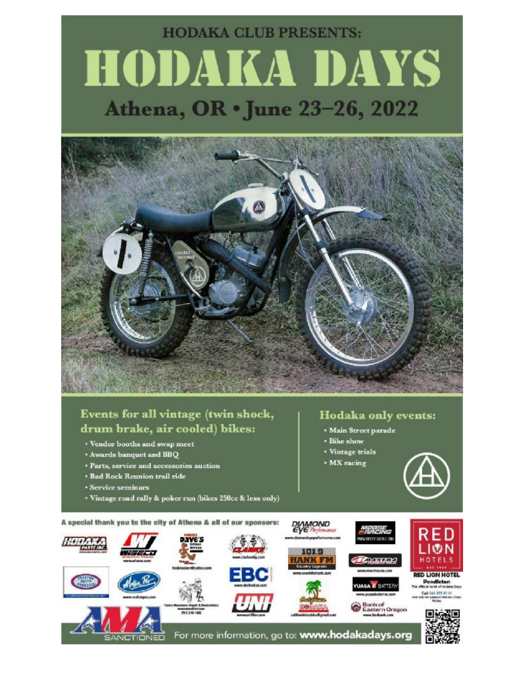# **HODAKA CLUB PRESENTS:** HODAKA DAYS Athena, OR . June 23-26, 2022



## Events for all vintage (twin shock, drum brake, air cooled) bikes:

- **· Vendor booths and swap meet**
- \* Awards banquet and BBQ
- **\* Parts, service and accessories auction**
- **\* Bad Rock Reunion trail ride**
- **\* Service seminars**
- \* Vintage road rally & poker run (bikes 250cc & less only)

### **Hodaka only events:**

- · Main Street parade
- · Bike show
- · Vintage trials
- · MX racing



A special thank you to the city of Athena & all of our sponsors: **MAMOND** RED LI®N HOTELS **ANK FF RED LION HOTEL** Pendleton<br>which test of Heddie Days A IT BATTERY Call 541-275-8111<br>and ask for special Hotels Days ank of<br>astern Oregon 回読器 For more information, go to: www.hodakadays.org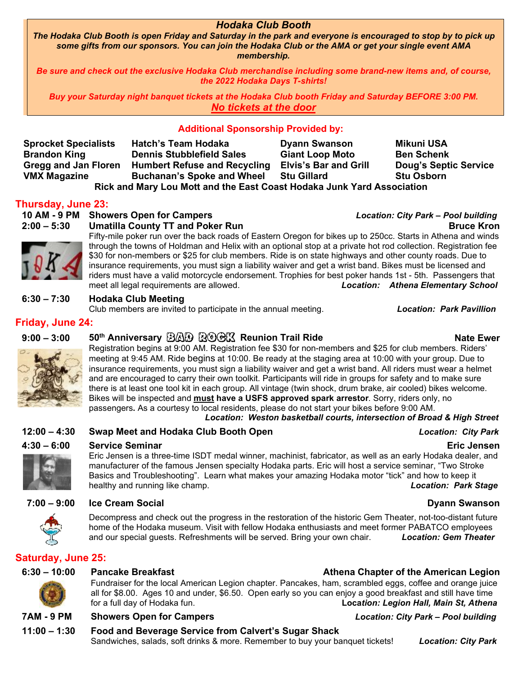#### *Hodaka Club Booth*

*The Hodaka Club Booth is open Friday and Saturday in the park and everyone is encouraged to stop by to pick up some gifts from our sponsors. You can join the Hodaka Club or the AMA or get your single event AMA membership.* 

*Be sure and check out the exclusive Hodaka Club merchandise including some brand-new items and, of course, the 2022 Hodaka Days T-shirts!* 

*Buy your Saturday night banquet tickets at the Hodaka Club booth Friday and Saturday BEFORE 3:00 PM. No tickets at the door* 

#### **Additional Sponsorship Provided by:**

| <b>Sprocket Specialists</b>                                            | Hatch's Team Hodaka                 | <b>Dyann Swanson</b>         | <b>Mikuni USA</b>            |  |  |
|------------------------------------------------------------------------|-------------------------------------|------------------------------|------------------------------|--|--|
| <b>Brandon King</b>                                                    | <b>Dennis Stubblefield Sales</b>    | <b>Giant Loop Moto</b>       | <b>Ben Schenk</b>            |  |  |
| <b>Gregg and Jan Floren</b>                                            | <b>Humbert Refuse and Recycling</b> | <b>Elvis's Bar and Grill</b> | <b>Doug's Septic Service</b> |  |  |
| <b>VMX Magazine</b>                                                    | <b>Buchanan's Spoke and Wheel</b>   | <b>Stu Gillard</b>           | <b>Stu Osborn</b>            |  |  |
| Rick and Mary Lou Mott and the East Coast Hodaka Junk Yard Association |                                     |                              |                              |  |  |

#### **Thursday, June 23:**

**10 AM - 9 PM Showers Open for Campers** *Location: City Park – Pool building* 



### **2:00 – 5:30 Umatilla County TT and Poker Run Bruce Kron**

Fifty-mile poker run over the back roads of Eastern Oregon for bikes up to 250cc. Starts in Athena and winds through the towns of Holdman and Helix with an optional stop at a private hot rod collection. Registration fee \$30 for non-members or \$25 for club members. Ride is on state highways and other county roads. Due to insurance requirements, you must sign a liability waiver and get a wrist band. Bikes must be licensed and riders must have a valid motorcycle endorsement. Trophies for best poker hands 1st - 5th. Passengers that meet all legal requirements are allowed. *Location: Athena Elementary School*

#### **6:30 – 7:30 Hodaka Club Meeting**

Club members are invited to participate in the annual meeting. *Location: Park Pavillion*

#### **Friday, June 24:**



#### 9:00 – 3:00 50<sup>th</sup> Anniversary ②公D R©GKX Reunion Trail Ride **National Accord Real Report Report** Nate Ewer

Registration begins at 9:00 AM. Registration fee \$30 for non-members and \$25 for club members. Riders' meeting at 9:45 AM. Ride begins at 10:00. Be ready at the staging area at 10:00 with your group. Due to insurance requirements, you must sign a liability waiver and get a wrist band. All riders must wear a helmet and are encouraged to carry their own toolkit. Participants will ride in groups for safety and to make sure there is at least one tool kit in each group. All vintage (twin shock, drum brake, air cooled) bikes welcome. Bikes will be inspected and **must have a USFS approved spark arrestor**. Sorry, riders only, no passengers**.** As a courtesy to local residents, please do not start your bikes before 9:00 AM.

#### *Location: Weston basketball courts, intersection of Broad & High Street*

**12:00 – 4:30 Swap Meet and Hodaka Club Booth Open** *Location: City Park* 

### **4:30 – 6:00 Service Seminar Eric Jensen**

Eric Jensen is a three-time ISDT medal winner, machinist, fabricator, as well as an early Hodaka dealer, and manufacturer of the famous Jensen specialty Hodaka parts. Eric will host a service seminar, "Two Stroke Basics and Troubleshooting". Learn what makes your amazing Hodaka motor "tick" and how to keep it healthy and running like champ. *Location: Park Stage*

#### **7:00 – 9:00 Ice Cream Social Dyann Swanson**

Decompress and check out the progress in the restoration of the historic Gem Theater, not-too-distant future home of the Hodaka museum. Visit with fellow Hodaka enthusiasts and meet former PABATCO employees and our special guests. Refreshments will be served. Bring your own chair. *Location: Gem Theater* 

### **Saturday, June 25:**



#### **6:30 – 10:00 Pancake Breakfast Athena Chapter of the American Legion**

Fundraiser for the local American Legion chapter. Pancakes, ham, scrambled eggs, coffee and orange juice all for \$8.00. Ages 10 and under, \$6.50. Open early so you can enjoy a good breakfast and still have time for a full day of Hodaka fun. **Loca***tion: Legion Hall, Main St, Athena*

### **7AM - 9 PM Showers Open for Campers** *Location: City Park – Pool building*

### **11:00 – 1:30 Food and Beverage Service from Calvert's Sugar Shack**

Sandwiches, salads, soft drinks & more. Remember to buy your banquet tickets! *Location: City Park*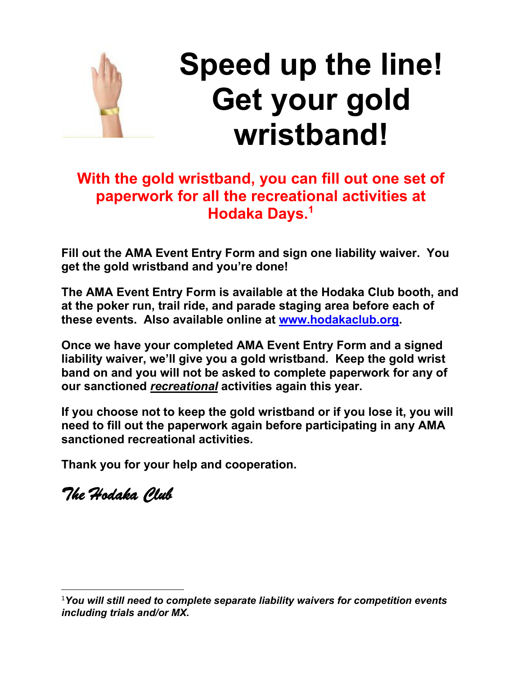

# **Speed up the line! Get your gold wristband!**

# **With the gold wristband, you can fill out one set of paperwork for all the recreational activities at Hodaka Days.<sup>1</sup>**

**Fill out the AMA Event Entry Form and sign one liability waiver. You get the gold wristband and you're done!** 

**The AMA Event Entry Form is available at the Hodaka Club booth, and at the poker run, trail ride, and parade staging area before each of these events. Also available online at [www.hodakaclub.org](http://www.hodakaclub.org).** 

**Once we have your completed AMA Event Entry Form and a signed liability waiver, we'll give you a gold wristband. Keep the gold wrist band on and you will not be asked to complete paperwork for any of our sanctioned** *recreational* **activities again this year.** 

**If you choose not to keep the gold wristband or if you lose it, you will need to fill out the paperwork again before participating in any AMA sanctioned recreational activities.** 

**Thank you for your help and cooperation.** 

*The Hodaka Club* 

<sup>1</sup>*You will still need to complete separate liability waivers for competition events including trials and/or MX.*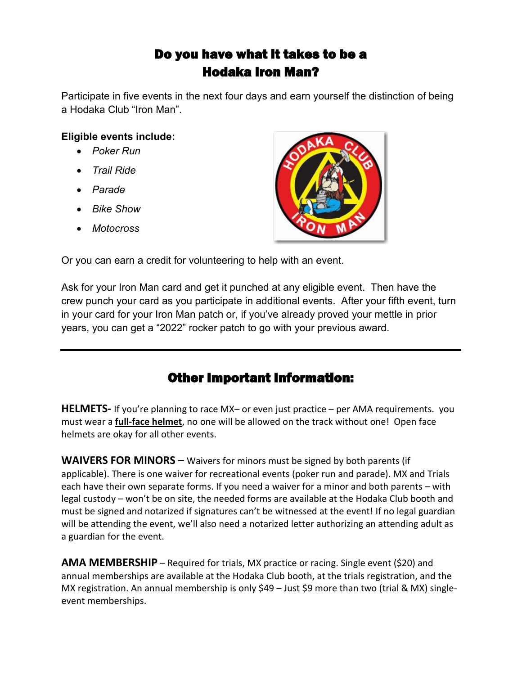# Do you have what it takes to be a Hodaka Iron Man?

Participate in five events in the next four days and earn yourself the distinction of being a Hodaka Club "Iron Man".

### **Eligible events include:**

- · *Poker Run*
- · *Trail Ride*
- · *Parade*
- · *Bike Show*
- · *Motocross*



Or you can earn a credit for volunteering to help with an event.

Ask for your Iron Man card and get it punched at any eligible event. Then have the crew punch your card as you participate in additional events. After your fifth event, turn in your card for your Iron Man patch or, if you've already proved your mettle in prior years, you can get a "2022" rocker patch to go with your previous award.

# Other Important Information:

**HELMETS-** If you're planning to race MX– or even just practice – per AMA requirements. you must wear a **full-face helmet**, no one will be allowed on the track without one! Open face helmets are okay for all other events.

**WAIVERS FOR MINORS –** Waivers for minors must be signed by both parents (if applicable). There is one waiver for recreational events (poker run and parade). MX and Trials each have their own separate forms. If you need a waiver for a minor and both parents – with legal custody – won't be on site, the needed forms are available at the Hodaka Club booth and must be signed and notarized if signatures can't be witnessed at the event! If no legal guardian will be attending the event, we'll also need a notarized letter authorizing an attending adult as a guardian for the event.

**AMA MEMBERSHIP** – Required for trials, MX practice or racing. Single event (\$20) and annual memberships are available at the Hodaka Club booth, at the trials registration, and the MX registration. An annual membership is only \$49 – Just \$9 more than two (trial & MX) singleevent memberships.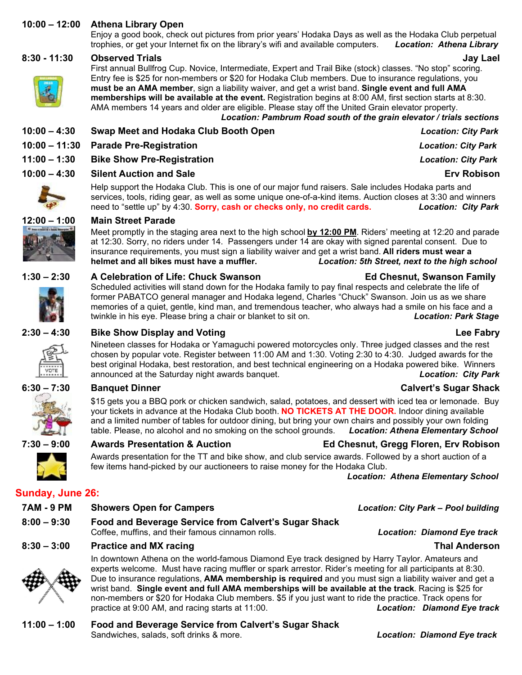#### **10:00 – 12:00 Athena Library Open**

Enjoy a good book, check out pictures from prior years' Hodaka Days as well as the Hodaka Club perpetual trophies, or get your Internet fix on the library's wifi and available computers. *Location: Athena Library* 

#### **8:30 - 11:30 Observed Trials Jay Lael**

First annual Bullfrog Cup. Novice, Intermediate, Expert and Trail Bike (stock) classes. "No stop" scoring. Entry fee is \$25 for non-members or \$20 for Hodaka Club members. Due to insurance regulations, you **must be an AMA member**, sign a liability waiver, and get a wrist band. **Single event and full AMA memberships will be available at the event.** Registration begins at 8:00 AM, first section starts at 8:30. AMA members 14 years and older are eligible. Please stay off the United Grain elevator property. *Location: Pambrum Road south of the grain elevator / trials sections*

| 10:00 - 4:30 | Swap Meet and Hodaka Club Booth Open  |
|--------------|---------------------------------------|
|              | 10:00 – 11:30 Parade Pre-Registration |

### **11:00 – 1:30 Bike Show Pre-Registration** *Location: City Park*

### **10:00 – 4:30 Silent Auction and Sale Erv Robison**

Help support the Hodaka Club. This is one of our major fund raisers. Sale includes Hodaka parts and services, tools, riding gear, as well as some unique one-of-a-kind items. Auction closes at 3:30 and winners need to "settle up" by 4:30. **Sorry, cash or checks only, no credit cards.** *Location: City Park*

#### **12:00 – 1:00 Main Street Parade**

Meet promptly in the staging area next to the high school **by 12:00 PM**. Riders' meeting at 12:20 and parade at 12:30. Sorry, no riders under 14. Passengers under 14 are okay with signed parental consent. Due to insurance requirements, you must sign a liability waiver and get a wrist band. **All riders must wear a helmet and all bikes must have a muffler.** *Location: 5th Street, next to the high school*



Scheduled activities will stand down for the Hodaka family to pay final respects and celebrate the life of former PABATCO general manager and Hodaka legend, Charles "Chuck" Swanson. Join us as we share memories of a quiet, gentle, kind man, and tremendous teacher, who always had a smile on his face and a twinkle in his eye. Please bring a chair or blanket to sit on. *Location: Park Stage*

#### **2:30 – 4:30 Bike Show Display and Voting Lee Fabry**

Nineteen classes for Hodaka or Yamaguchi powered motorcycles only. Three judged classes and the rest chosen by popular vote. Register between 11:00 AM and 1:30. Voting 2:30 to 4:30. Judged awards for the best original Hodaka, best restoration, and best technical engineering on a Hodaka powered bike. Winners announced at the Saturday night awards banquet. *Location: City Park*

#### **6:30 – 7:30 Banquet Dinner Calvert's Sugar Shack**

\$15 gets you a BBQ pork or chicken sandwich, salad, potatoes, and dessert with iced tea or lemonade. Buy your tickets in advance at the Hodaka Club booth. **NO TICKETS AT THE DOOR.** Indoor dining available and a limited number of tables for outdoor dining, but bring your own chairs and possibly your own folding table. Please, no alcohol and no smoking on the school grounds. *Location: Athena Elementary School*

Awards presentation for the TT and bike show, and club service awards. Followed by a short auction of a few items hand-picked by our auctioneers to raise money for the Hodaka Club.

*Location: Athena Elementary School*

### **Sunday, June 26:**

| 7AM - 9 PM    | <b>Showers Open for Campers</b>                      | <b>Location: City Park - Pool building</b> |
|---------------|------------------------------------------------------|--------------------------------------------|
| $8:00 - 9:30$ | Food and Beverage Service from Calvert's Sugar Shack |                                            |
|               | Coffee, muffins, and their famous cinnamon rolls.    | <b>Location: Diamond Eye track</b>         |

### **8:30 – 3:00 Practice and MX racing Thal Anderson**



#### In downtown Athena on the world-famous Diamond Eye track designed by Harry Taylor. Amateurs and experts welcome. Must have racing muffler or spark arrestor. Rider's meeting for all participants at 8:30. Due to insurance regulations, **AMA membership is required** and you must sign a liability waiver and get a wrist band. **Single event and full AMA memberships will be available at the track**. Racing is \$25 for non-members or \$20 for Hodaka Club members. \$5 if you just want to ride the practice. Track opens for practice at 9:00 AM, and racing starts at 11:00. *Location: Diamond Eye track*

**11:00 – 1:00 Food and Beverage Service from Calvert's Sugar Shack**  Sandwiches, salads, soft drinks & more. *Location: Diamond Eye track*

 $Location: City Park$ **10:00 – 11:30 Parade Pre-Registration** *Location: City Park*



# **7:30 – 9:00 Awards Presentation & Auction Ed Chesnut, Gregg Floren, Erv Robison**